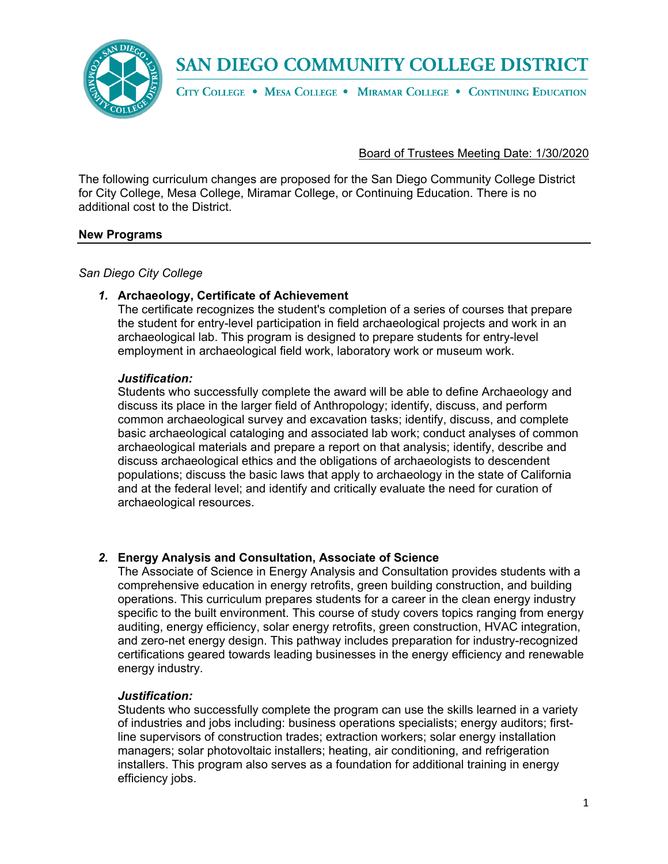

CITY COLLEGE . MESA COLLEGE . MIRAMAR COLLEGE . CONTINUING EDUCATION

Board of Trustees Meeting Date: 1/30/2020

The following curriculum changes are proposed for the San Diego Community College District for City College, Mesa College, Miramar College, or Continuing Education. There is no additional cost to the District.

### **New Programs**

*San Diego City College*

#### *1.* **Archaeology, Certificate of Achievement**

The certificate recognizes the student's completion of a series of courses that prepare the student for entry-level participation in field archaeological projects and work in an archaeological lab. This program is designed to prepare students for entry-level employment in archaeological field work, laboratory work or museum work.

#### *Justification:*

Students who successfully complete the award will be able to define Archaeology and discuss its place in the larger field of Anthropology; identify, discuss, and perform common archaeological survey and excavation tasks; identify, discuss, and complete basic archaeological cataloging and associated lab work; conduct analyses of common archaeological materials and prepare a report on that analysis; identify, describe and discuss archaeological ethics and the obligations of archaeologists to descendent populations; discuss the basic laws that apply to archaeology in the state of California and at the federal level; and identify and critically evaluate the need for curation of archaeological resources.

### *2.* **Energy Analysis and Consultation, Associate of Science**

The Associate of Science in Energy Analysis and Consultation provides students with a comprehensive education in energy retrofits, green building construction, and building operations. This curriculum prepares students for a career in the clean energy industry specific to the built environment. This course of study covers topics ranging from energy auditing, energy efficiency, solar energy retrofits, green construction, HVAC integration, and zero-net energy design. This pathway includes preparation for industry-recognized certifications geared towards leading businesses in the energy efficiency and renewable energy industry.

### *Justification:*

Students who successfully complete the program can use the skills learned in a variety of industries and jobs including: business operations specialists; energy auditors; firstline supervisors of construction trades; extraction workers; solar energy installation managers; solar photovoltaic installers; heating, air conditioning, and refrigeration installers. This program also serves as a foundation for additional training in energy efficiency jobs.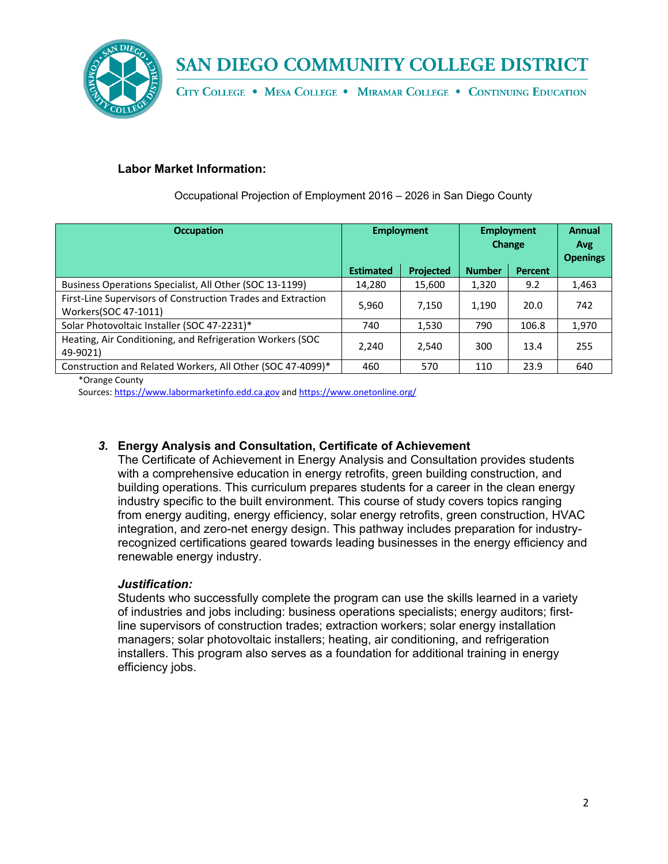

CITY COLLEGE . MESA COLLEGE . MIRAMAR COLLEGE . CONTINUING EDUCATION

### **Labor Market Information:**

| <b>Occupation</b>                                                                    | <b>Employment</b> |                  | <b>Employment</b><br>Change |                | Annual<br>Avg<br><b>Openings</b> |
|--------------------------------------------------------------------------------------|-------------------|------------------|-----------------------------|----------------|----------------------------------|
|                                                                                      | <b>Estimated</b>  | <b>Projected</b> | <b>Number</b>               | <b>Percent</b> |                                  |
| Business Operations Specialist, All Other (SOC 13-1199)                              | 14,280            | 15,600           | 1,320                       | 9.2            | 1,463                            |
| First-Line Supervisors of Construction Trades and Extraction<br>Workers(SOC 47-1011) | 5,960             | 7,150            | 1,190                       | 20.0           | 742                              |
| Solar Photovoltaic Installer (SOC 47-2231)*                                          | 740               | 1,530            | 790                         | 106.8          | 1,970                            |
| Heating, Air Conditioning, and Refrigeration Workers (SOC<br>49-9021)                | 2,240             | 2,540            | 300                         | 13.4           | 255                              |
| Construction and Related Workers, All Other (SOC 47-4099)*                           | 460               | 570              | 110                         | 23.9           | 640                              |
|                                                                                      |                   |                  |                             |                |                                  |

Occupational Projection of Employment 2016 – 2026 in San Diego County

\*Orange County

Sources: [https://www.labormarketinfo.edd.ca.gov](https://www.labormarketinfo.edd.ca.gov/cgi/databrowsing/occExplorerQSSelection.asp?) an[d https://www.onetonline.org/](https://www.onetonline.org/)

### *3.* **Energy Analysis and Consultation, Certificate of Achievement**

The Certificate of Achievement in Energy Analysis and Consultation provides students with a comprehensive education in energy retrofits, green building construction, and building operations. This curriculum prepares students for a career in the clean energy industry specific to the built environment. This course of study covers topics ranging from energy auditing, energy efficiency, solar energy retrofits, green construction, HVAC integration, and zero-net energy design. This pathway includes preparation for industryrecognized certifications geared towards leading businesses in the energy efficiency and renewable energy industry.

### *Justification:*

Students who successfully complete the program can use the skills learned in a variety of industries and jobs including: business operations specialists; energy auditors; firstline supervisors of construction trades; extraction workers; solar energy installation managers; solar photovoltaic installers; heating, air conditioning, and refrigeration installers. This program also serves as a foundation for additional training in energy efficiency jobs.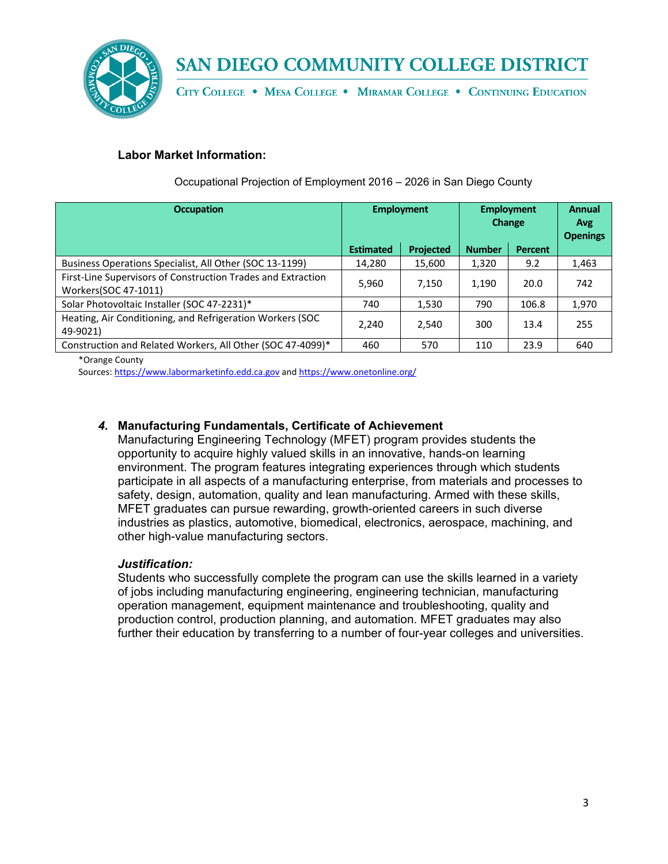

CITY COLLEGE . MESA COLLEGE . MIRAMAR COLLEGE . CONTINUING EDUCATION

### **Labor Market Information:**

| <b>Occupation</b>                                                                    | <b>Employment</b> |                  | <b>Employment</b><br>Change |                | <b>Annual</b><br><b>Avg</b><br><b>Openings</b> |
|--------------------------------------------------------------------------------------|-------------------|------------------|-----------------------------|----------------|------------------------------------------------|
|                                                                                      | <b>Estimated</b>  | <b>Projected</b> | <b>Number</b>               | <b>Percent</b> |                                                |
| Business Operations Specialist, All Other (SOC 13-1199)                              | 14,280            | 15,600           | 1,320                       | 9.2            | 1,463                                          |
| First-Line Supervisors of Construction Trades and Extraction<br>Workers(SOC 47-1011) | 5,960             | 7.150            | 1,190                       | 20.0           | 742                                            |
| Solar Photovoltaic Installer (SOC 47-2231)*                                          | 740               | 1,530            | 790                         | 106.8          | 1,970                                          |
| Heating, Air Conditioning, and Refrigeration Workers (SOC<br>49-9021)                | 2,240             | 2,540            | 300                         | 13.4           | 255                                            |
| Construction and Related Workers, All Other (SOC 47-4099)*                           | 460               | 570              | 110                         | 23.9           | 640                                            |

Occupational Projection of Employment 2016 – 2026 in San Diego County

\*Orange County

Sources: [https://www.labormarketinfo.edd.ca.gov](https://www.labormarketinfo.edd.ca.gov/cgi/databrowsing/occExplorerQSSelection.asp?) an[d https://www.onetonline.org/](https://www.onetonline.org/)

### *4.* **Manufacturing Fundamentals, Certificate of Achievement**

Manufacturing Engineering Technology (MFET) program provides students the opportunity to acquire highly valued skills in an innovative, hands-on learning environment. The program features integrating experiences through which students participate in all aspects of a manufacturing enterprise, from materials and processes to safety, design, automation, quality and lean manufacturing. Armed with these skills, MFET graduates can pursue rewarding, growth-oriented careers in such diverse industries as plastics, automotive, biomedical, electronics, aerospace, machining, and other high-value manufacturing sectors.

#### *Justification:*

Students who successfully complete the program can use the skills learned in a variety of jobs including manufacturing engineering, engineering technician, manufacturing operation management, equipment maintenance and troubleshooting, quality and production control, production planning, and automation. MFET graduates may also further their education by transferring to a number of four-year colleges and universities.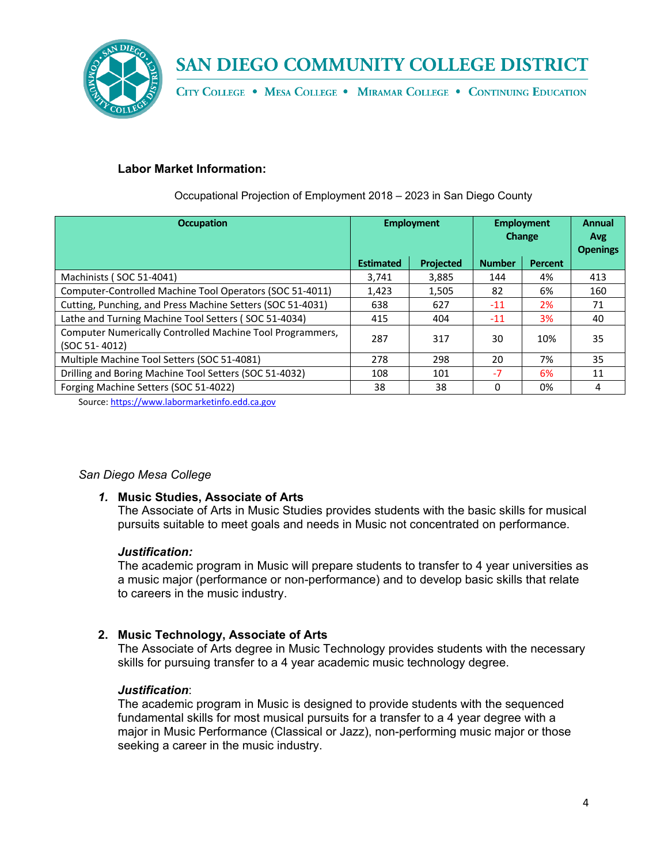

CITY COLLEGE . MESA COLLEGE . MIRAMAR COLLEGE . CONTINUING EDUCATION

### **Labor Market Information:**

| <b>Occupation</b>                                                          | <b>Employment</b> |                  | <b>Employment</b><br><b>Change</b> |           | Annual<br>Avg<br><b>Openings</b> |
|----------------------------------------------------------------------------|-------------------|------------------|------------------------------------|-----------|----------------------------------|
|                                                                            | <b>Estimated</b>  | <b>Projected</b> | <b>Number</b>                      | Percent   |                                  |
| Machinists (SOC 51-4041)                                                   | 3,741             | 3,885            | 144                                | 4%        | 413                              |
| Computer-Controlled Machine Tool Operators (SOC 51-4011)                   | 1,423             | 1,505            | 82                                 | 6%        | 160                              |
| Cutting, Punching, and Press Machine Setters (SOC 51-4031)                 | 638               | 627              | $-11$                              | <b>2%</b> | 71                               |
| Lathe and Turning Machine Tool Setters (SOC 51-4034)                       | 415               | 404              | $-11$                              | 3%        | 40                               |
| Computer Numerically Controlled Machine Tool Programmers,<br>(SOC 51-4012) | 287               | 317              | 30                                 | 10%       | 35                               |
| Multiple Machine Tool Setters (SOC 51-4081)                                | 278               | 298              | 20                                 | 7%        | 35                               |
| Drilling and Boring Machine Tool Setters (SOC 51-4032)                     | 108               | 101              | $-7$                               | 6%        | 11                               |
| Forging Machine Setters (SOC 51-4022)                                      | 38                | 38               | 0                                  | 0%        | 4                                |

Occupational Projection of Employment 2018 – 2023 in San Diego County

Source: [https://www.labormarketinfo.edd.ca.gov](https://www.labormarketinfo.edd.ca.gov/cgi/databrowsing/occExplorerQSSelection.asp?)

### *San Diego Mesa College*

### *1.* **Music Studies, Associate of Arts**

The Associate of Arts in Music Studies provides students with the basic skills for musical pursuits suitable to meet goals and needs in Music not concentrated on performance.

### *Justification:*

The academic program in Music will prepare students to transfer to 4 year universities as a music major (performance or non-performance) and to develop basic skills that relate to careers in the music industry.

### **2. Music Technology, Associate of Arts**

The Associate of Arts degree in Music Technology provides students with the necessary skills for pursuing transfer to a 4 year academic music technology degree.

#### *Justification*:

The academic program in Music is designed to provide students with the sequenced fundamental skills for most musical pursuits for a transfer to a 4 year degree with a major in Music Performance (Classical or Jazz), non-performing music major or those seeking a career in the music industry.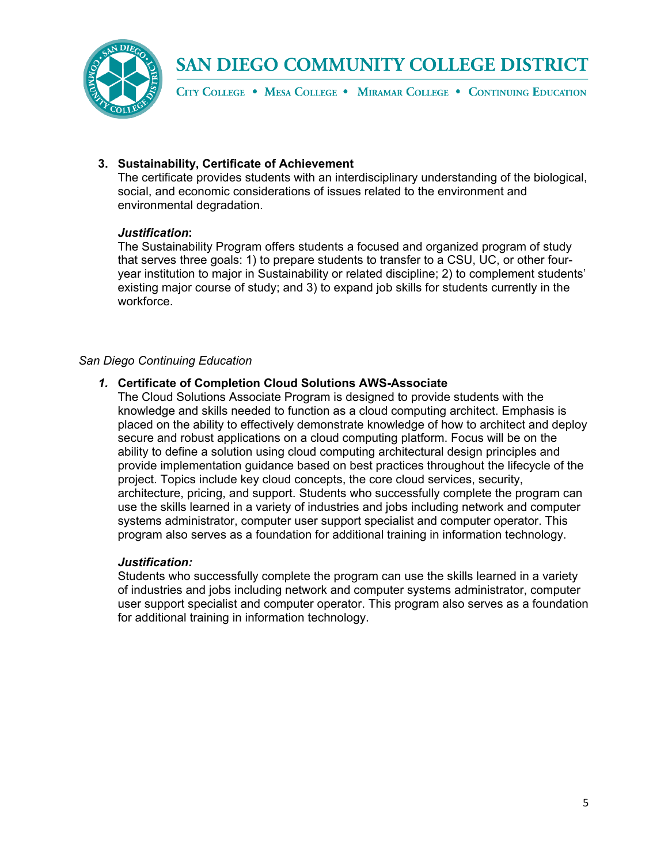

CITY COLLEGE . MESA COLLEGE . MIRAMAR COLLEGE . CONTINUING EDUCATION

### **3. Sustainability, Certificate of Achievement**

The certificate provides students with an interdisciplinary understanding of the biological, social, and economic considerations of issues related to the environment and environmental degradation.

### *Justification***:**

The Sustainability Program offers students a focused and organized program of study that serves three goals: 1) to prepare students to transfer to a CSU, UC, or other fouryear institution to major in Sustainability or related discipline; 2) to complement students' existing major course of study; and 3) to expand job skills for students currently in the workforce.

### *San Diego Continuing Education*

### *1.* **Certificate of Completion Cloud Solutions AWS-Associate**

The Cloud Solutions Associate Program is designed to provide students with the knowledge and skills needed to function as a cloud computing architect. Emphasis is placed on the ability to effectively demonstrate knowledge of how to architect and deploy secure and robust applications on a cloud computing platform. Focus will be on the ability to define a solution using cloud computing architectural design principles and provide implementation guidance based on best practices throughout the lifecycle of the project. Topics include key cloud concepts, the core cloud services, security, architecture, pricing, and support. Students who successfully complete the program can use the skills learned in a variety of industries and jobs including network and computer systems administrator, computer user support specialist and computer operator. This program also serves as a foundation for additional training in information technology.

### *Justification:*

Students who successfully complete the program can use the skills learned in a variety of industries and jobs including network and computer systems administrator, computer user support specialist and computer operator. This program also serves as a foundation for additional training in information technology.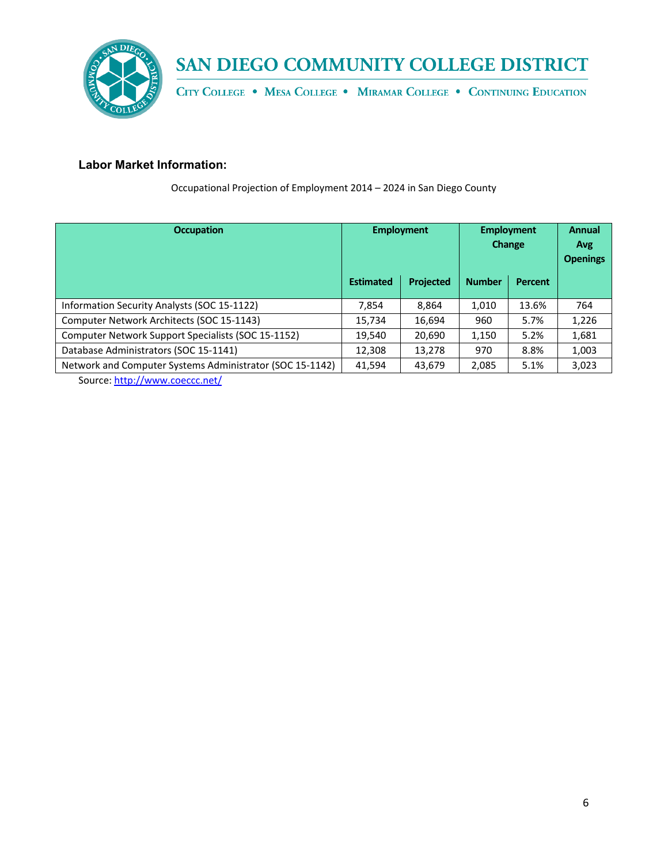

CITY COLLEGE . MESA COLLEGE . MIRAMAR COLLEGE . CONTINUING EDUCATION

### **Labor Market Information:**

Occupational Projection of Employment 2014 – 2024 in San Diego County

| <b>Occupation</b>                                        | <b>Employment</b> |           | <b>Employment</b><br>Change |                | <b>Annual</b><br>Avg<br><b>Openings</b> |
|----------------------------------------------------------|-------------------|-----------|-----------------------------|----------------|-----------------------------------------|
|                                                          | <b>Estimated</b>  | Projected | <b>Number</b>               | <b>Percent</b> |                                         |
| Information Security Analysts (SOC 15-1122)              | 7.854             | 8.864     | 1,010                       | 13.6%          | 764                                     |
| Computer Network Architects (SOC 15-1143)                | 15,734            | 16,694    | 960                         | 5.7%           | 1,226                                   |
| Computer Network Support Specialists (SOC 15-1152)       | 19,540            | 20,690    | 1,150                       | 5.2%           | 1,681                                   |
| Database Administrators (SOC 15-1141)                    | 12,308            | 13,278    | 970                         | 8.8%           | 1,003                                   |
| Network and Computer Systems Administrator (SOC 15-1142) | 41,594            | 43,679    | 2,085                       | 5.1%           | 3,023                                   |
|                                                          |                   |           |                             |                |                                         |

Source: http://www.coeccc.net/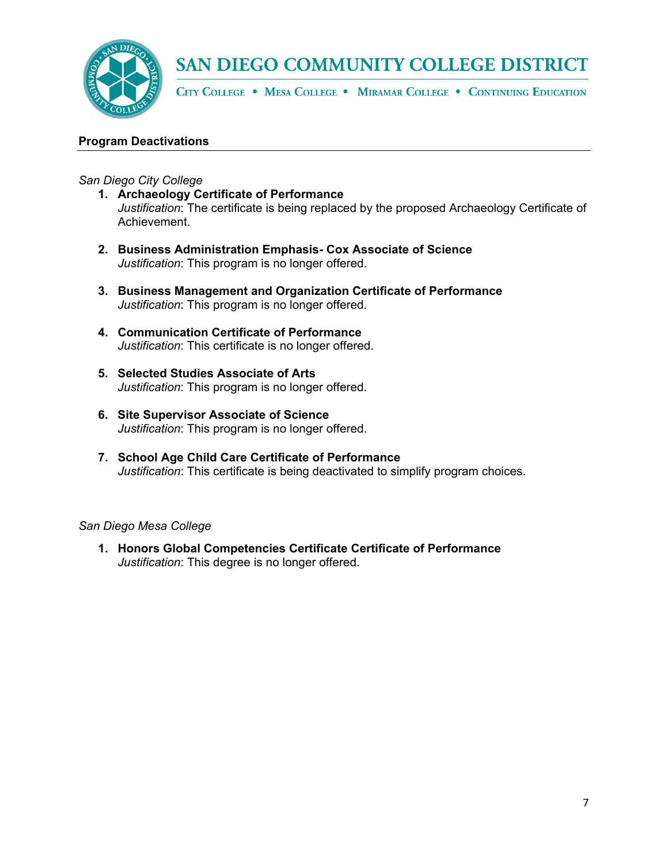

CITY COLLEGE . MESA COLLEGE . MIRAMAR COLLEGE . CONTINUING EDUCATION

### **Program Deactivations**

*San Diego City College*

- **1. Archaeology Certificate of Performance**  *Justification*: The certificate is being replaced by the proposed Archaeology Certificate of Achievement.
- **2. Business Administration Emphasis- Cox Associate of Science**  *Justification*: This program is no longer offered.
- **3. Business Management and Organization Certificate of Performance**  *Justification*: This program is no longer offered.
- **4. Communication Certificate of Performance** *Justification*: This certificate is no longer offered.
- **5. Selected Studies Associate of Arts**  *Justification*: This program is no longer offered.
- **6. Site Supervisor Associate of Science**  *Justification*: This program is no longer offered.
- **7. School Age Child Care Certificate of Performance** *Justification*: This certificate is being deactivated to simplify program choices.

*San Diego Mesa College*

**1. Honors Global Competencies Certificate Certificate of Performance**  *Justification*: This degree is no longer offered.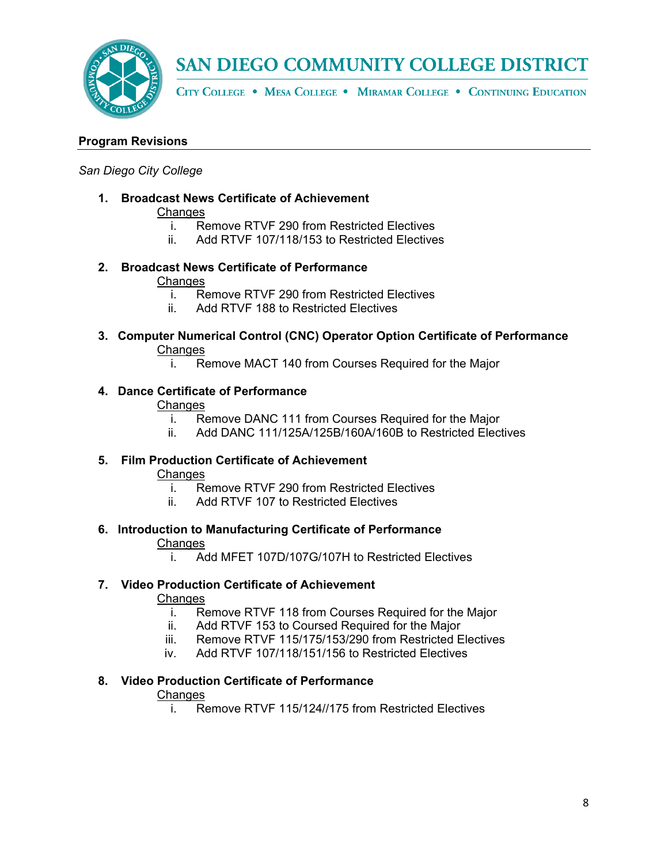

CITY COLLEGE . MESA COLLEGE . MIRAMAR COLLEGE . CONTINUING EDUCATION

### **Program Revisions**

#### *San Diego City College*

**1. Broadcast News Certificate of Achievement**

## **Changes**

- i. Remove RTVF 290 from Restricted Electives
- ii. Add RTVF 107/118/153 to Restricted Electives
- **2. Broadcast News Certificate of Performance Changes** 
	- i. Remove RTVF 290 from Restricted Electives
	- ii. Add RTVF 188 to Restricted Electives
- **3. Computer Numerical Control (CNC) Operator Option Certificate of Performance Changes** 
	- i. Remove MACT 140 from Courses Required for the Major

### **4. Dance Certificate of Performance**

#### **Changes**

- i. Remove DANC 111 from Courses Required for the Major
- ii. Add DANC 111/125A/125B/160A/160B to Restricted Electives

## **5. Film Production Certificate of Achievement**

### **Changes**

- i. Remove RTVF 290 from Restricted Electives<br>ii. Add RTVF 107 to Restricted Electives
- Add RTVF 107 to Restricted Electives

## **6. Introduction to Manufacturing Certificate of Performance**

### **Changes**

i. Add MFET 107D/107G/107H to Restricted Electives

### **7. Video Production Certificate of Achievement**

### **Changes**

- i. Remove RTVF 118 from Courses Required for the Major
- ii. Add RTVF 153 to Coursed Required for the Major
- iii. Remove RTVF 115/175/153/290 from Restricted Electives
- iv. Add RTVF 107/118/151/156 to Restricted Electives

### **8. Video Production Certificate of Performance**

### **Changes**

i. Remove RTVF 115/124//175 from Restricted Electives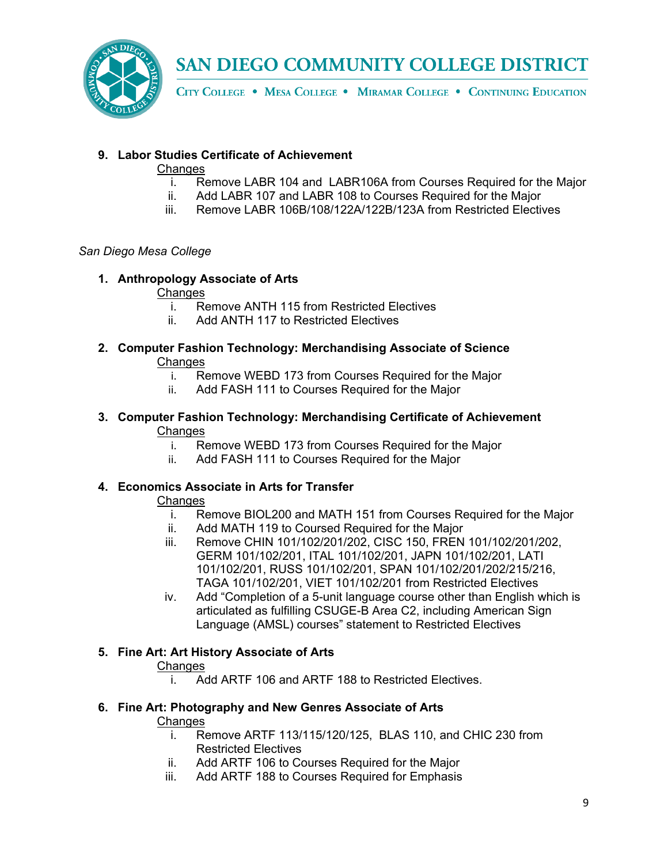

CITY COLLEGE . MESA COLLEGE . MIRAMAR COLLEGE . CONTINUING EDUCATION

### **9. Labor Studies Certificate of Achievement**

### Changes

- i. Remove LABR 104 and LABR106A from Courses Required for the Major
- ii. Add LABR 107 and LABR 108 to Courses Required for the Major
- iii. Remove LABR 106B/108/122A/122B/123A from Restricted Electives

### *San Diego Mesa College*

### **1. Anthropology Associate of Arts**

### **Changes**

- i. Remove ANTH 115 from Restricted Electives
- ii. Add ANTH 117 to Restricted Electives
- **2. Computer Fashion Technology: Merchandising Associate of Science**  Changes
	- i. Remove WEBD 173 from Courses Required for the Major
	- ii. Add FASH 111 to Courses Required for the Major
- **3. Computer Fashion Technology: Merchandising Certificate of Achievement** Changes<br>i. Re
	- Remove WEBD 173 from Courses Required for the Major
	- ii. Add FASH 111 to Courses Required for the Major

### **4. Economics Associate in Arts for Transfer**

### Changes

- i. Remove BIOL200 and MATH 151 from Courses Required for the Major
- ii. Add MATH 119 to Coursed Required for the Major
- iii. Remove CHIN 101/102/201/202, CISC 150, FREN 101/102/201/202, GERM 101/102/201, ITAL 101/102/201, JAPN 101/102/201, LATI 101/102/201, RUSS 101/102/201, SPAN 101/102/201/202/215/216, TAGA 101/102/201, VIET 101/102/201 from Restricted Electives
- iv. Add "Completion of a 5-unit language course other than English which is articulated as fulfilling CSUGE-B Area C2, including American Sign Language (AMSL) courses" statement to Restricted Electives

### **5. Fine Art: Art History Associate of Arts**

### **Changes**

i. Add ARTF 106 and ARTF 188 to Restricted Electives.

### **6. Fine Art: Photography and New Genres Associate of Arts**

- i. Remove ARTF 113/115/120/125, BLAS 110, and CHIC 230 from Restricted Electives
- ii. Add ARTF 106 to Courses Required for the Major
- iii. Add ARTF 188 to Courses Required for Emphasis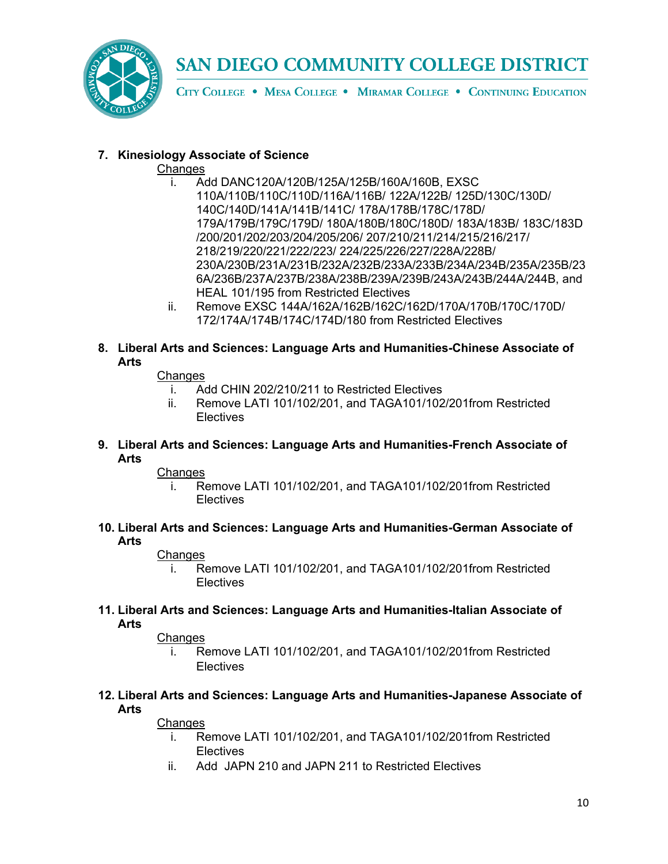

CITY COLLEGE . MESA COLLEGE . MIRAMAR COLLEGE . CONTINUING EDUCATION

### **7. Kinesiology Associate of Science**

### Changes

- i. Add DANC120A/120B/125A/125B/160A/160B, EXSC 110A/110B/110C/110D/116A/116B/ 122A/122B/ 125D/130C/130D/ 140C/140D/141A/141B/141C/ 178A/178B/178C/178D/ 179A/179B/179C/179D/ 180A/180B/180C/180D/ 183A/183B/ 183C/183D /200/201/202/203/204/205/206/ 207/210/211/214/215/216/217/ 218/219/220/221/222/223/ 224/225/226/227/228A/228B/ 230A/230B/231A/231B/232A/232B/233A/233B/234A/234B/235A/235B/23 6A/236B/237A/237B/238A/238B/239A/239B/243A/243B/244A/244B, and HEAL 101/195 from Restricted Electives
- ii. Remove EXSC 144A/162A/162B/162C/162D/170A/170B/170C/170D/ 172/174A/174B/174C/174D/180 from Restricted Electives
- **8. Liberal Arts and Sciences: Language Arts and Humanities-Chinese Associate of Arts**

### Changes

- i. Add CHIN 202/210/211 to Restricted Electives
- ii. Remove LATI 101/102/201, and TAGA101/102/201from Restricted Electives
- **9. Liberal Arts and Sciences: Language Arts and Humanities-French Associate of Arts**

### **Changes**

- i. Remove LATI 101/102/201, and TAGA101/102/201from Restricted Electives
- **10. Liberal Arts and Sciences: Language Arts and Humanities-German Associate of Arts**

### **Changes**

- i. Remove LATI 101/102/201, and TAGA101/102/201from Restricted **Electives**
- **11. Liberal Arts and Sciences: Language Arts and Humanities-Italian Associate of Arts**

### **Changes**

- i. Remove LATI 101/102/201, and TAGA101/102/201from Restricted **Electives**
- **12. Liberal Arts and Sciences: Language Arts and Humanities-Japanese Associate of Arts**

- i. Remove LATI 101/102/201, and TAGA101/102/201from Restricted Electives
- ii. Add JAPN 210 and JAPN 211 to Restricted Electives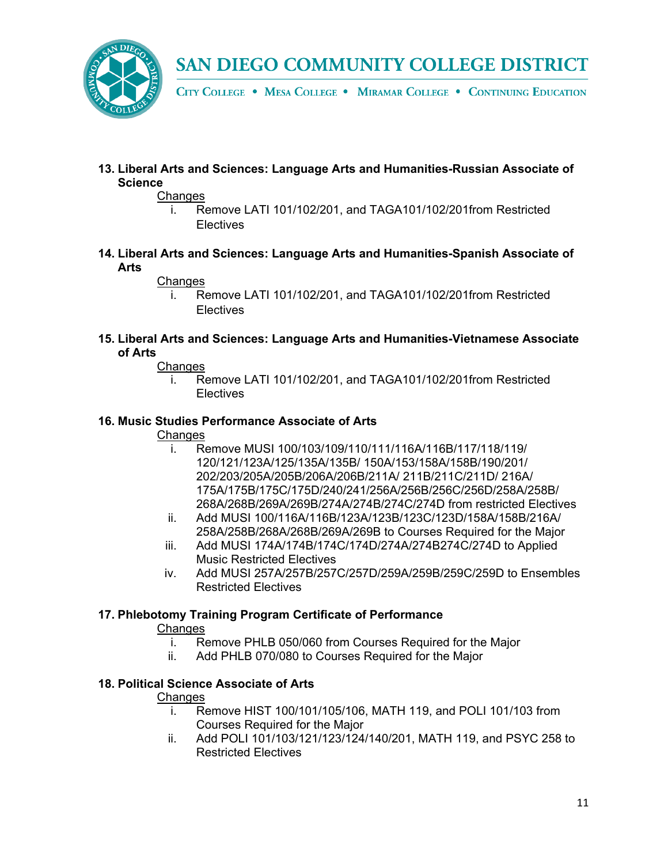

CITY COLLEGE . MESA COLLEGE . MIRAMAR COLLEGE . CONTINUING EDUCATION

**13. Liberal Arts and Sciences: Language Arts and Humanities-Russian Associate of Science**

#### Changes

- i. Remove LATI 101/102/201, and TAGA101/102/201from Restricted Electives
- **14. Liberal Arts and Sciences: Language Arts and Humanities-Spanish Associate of Arts**

### Changes

- i. Remove LATI 101/102/201, and TAGA101/102/201from Restricted **Electives**
- **15. Liberal Arts and Sciences: Language Arts and Humanities-Vietnamese Associate of Arts**

### Changes

i. Remove LATI 101/102/201, and TAGA101/102/201from Restricted **Electives** 

#### **16. Music Studies Performance Associate of Arts**

#### **Changes**

- i. Remove MUSI 100/103/109/110/111/116A/116B/117/118/119/ 120/121/123A/125/135A/135B/ 150A/153/158A/158B/190/201/ 202/203/205A/205B/206A/206B/211A/ 211B/211C/211D/ 216A/ 175A/175B/175C/175D/240/241/256A/256B/256C/256D/258A/258B/ 268A/268B/269A/269B/274A/274B/274C/274D from restricted Electives
- ii. Add MUSI 100/116A/116B/123A/123B/123C/123D/158A/158B/216A/ 258A/258B/268A/268B/269A/269B to Courses Required for the Major
- iii. Add MUSI 174A/174B/174C/174D/274A/274B274C/274D to Applied Music Restricted Electives
- iv. Add MUSI 257A/257B/257C/257D/259A/259B/259C/259D to Ensembles Restricted Electives

### **17. Phlebotomy Training Program Certificate of Performance**

### **Changes**

- i. Remove PHLB 050/060 from Courses Required for the Major
- ii. Add PHLB 070/080 to Courses Required for the Major

### **18. Political Science Associate of Arts**

- i. Remove HIST 100/101/105/106, MATH 119, and POLI 101/103 from Courses Required for the Major
- ii. Add POLI 101/103/121/123/124/140/201, MATH 119, and PSYC 258 to Restricted Electives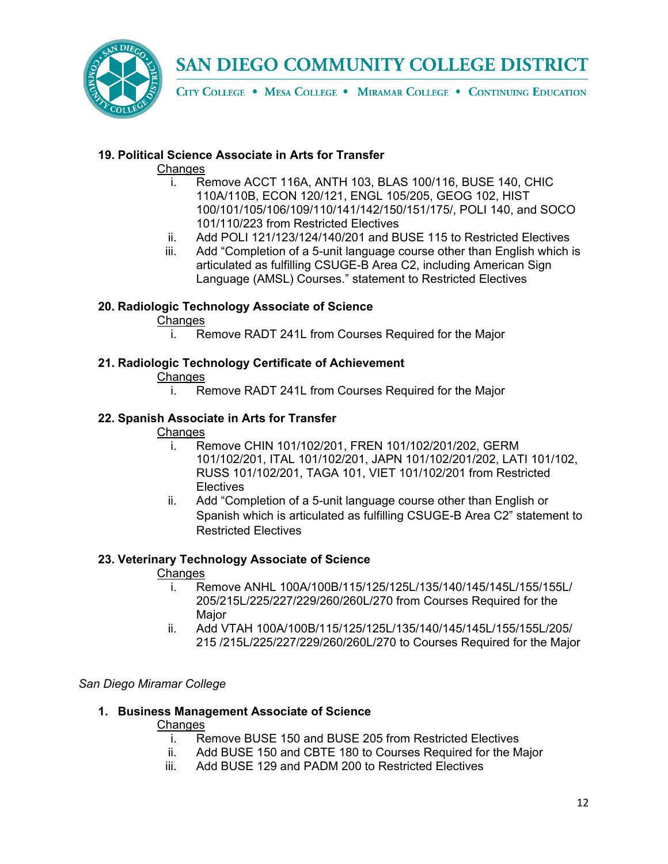

CITY COLLEGE . MESA COLLEGE . MIRAMAR COLLEGE . CONTINUING EDUCATION

### **19. Political Science Associate in Arts for Transfer**

### Changes

- i. Remove ACCT 116A, ANTH 103, BLAS 100/116, BUSE 140, CHIC 110A/110B, ECON 120/121, ENGL 105/205, GEOG 102, HIST 100/101/105/106/109/110/141/142/150/151/175/, POLI 140, and SOCO 101/110/223 from Restricted Electives
- ii. Add POLI 121/123/124/140/201 and BUSE 115 to Restricted Electives
- iii. Add "Completion of a 5-unit language course other than English which is articulated as fulfilling CSUGE-B Area C2, including American Sign Language (AMSL) Courses." statement to Restricted Electives

### **20. Radiologic Technology Associate of Science**

### **Changes**

i. Remove RADT 241L from Courses Required for the Major

### **21. Radiologic Technology Certificate of Achievement**

### **Changes**

i. Remove RADT 241L from Courses Required for the Major

### **22. Spanish Associate in Arts for Transfer**

### **Changes**

- i. Remove CHIN 101/102/201, FREN 101/102/201/202, GERM 101/102/201, ITAL 101/102/201, JAPN 101/102/201/202, LATI 101/102, RUSS 101/102/201, TAGA 101, VIET 101/102/201 from Restricted **Electives**
- ii. Add "Completion of a 5-unit language course other than English or Spanish which is articulated as fulfilling CSUGE-B Area C2" statement to Restricted Electives

### **23. Veterinary Technology Associate of Science**

### **Changes**

- i. Remove ANHL 100A/100B/115/125/125L/135/140/145/145L/155/155L/ 205/215L/225/227/229/260/260L/270 from Courses Required for the Major
- ii. Add VTAH 100A/100B/115/125/125L/135/140/145/145L/155/155L/205/ 215 /215L/225/227/229/260/260L/270 to Courses Required for the Major

### *San Diego Miramar College*

### **1. Business Management Associate of Science**

- i. Remove BUSE 150 and BUSE 205 from Restricted Electives
- ii. Add BUSE 150 and CBTE 180 to Courses Required for the Major
- iii. Add BUSE 129 and PADM 200 to Restricted Electives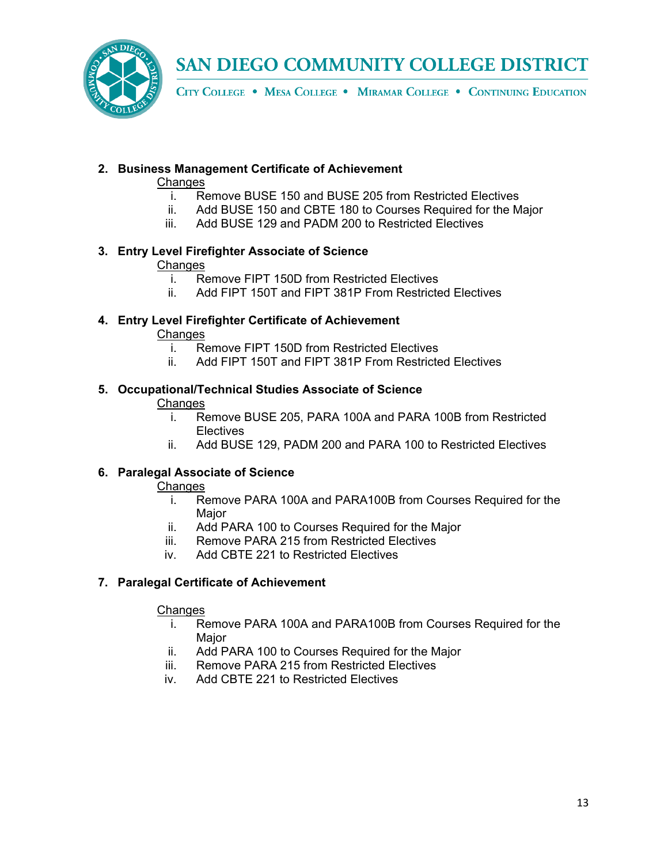

CITY COLLEGE . MESA COLLEGE . MIRAMAR COLLEGE . CONTINUING EDUCATION

## **2. Business Management Certificate of Achievement**

### **Changes**

- i. Remove BUSE 150 and BUSE 205 from Restricted Electives<br>ii. Add BUSE 150 and CBTE 180 to Courses Required for the M
- Add BUSE 150 and CBTE 180 to Courses Required for the Major
- iii. Add BUSE 129 and PADM 200 to Restricted Electives

## **3. Entry Level Firefighter Associate of Science**

### **Changes**

- i. Remove FIPT 150D from Restricted Electives
- ii. Add FIPT 150T and FIPT 381P From Restricted Electives

### **4. Entry Level Firefighter Certificate of Achievement**

- **Changes** 
	- i. Remove FIPT 150D from Restricted Electives<br>ii Add FIPT 150T and FIPT 381P From Restricte
	- Add FIPT 150T and FIPT 381P From Restricted Electives

### **5. Occupational/Technical Studies Associate of Science**

### **Changes**

- i. Remove BUSE 205, PARA 100A and PARA 100B from Restricted Electives
- ii. Add BUSE 129, PADM 200 and PARA 100 to Restricted Electives

### **6. Paralegal Associate of Science**

### Changes

- i. Remove PARA 100A and PARA100B from Courses Required for the **Major**
- ii. Add PARA 100 to Courses Required for the Major
- iii. Remove PARA 215 from Restricted Electives
- iv. Add CBTE 221 to Restricted Electives

### **7. Paralegal Certificate of Achievement**

- i. Remove PARA 100A and PARA100B from Courses Required for the Major
- ii. Add PARA 100 to Courses Required for the Major
- iii. Remove PARA 215 from Restricted Electives
- iv. Add CBTE 221 to Restricted Electives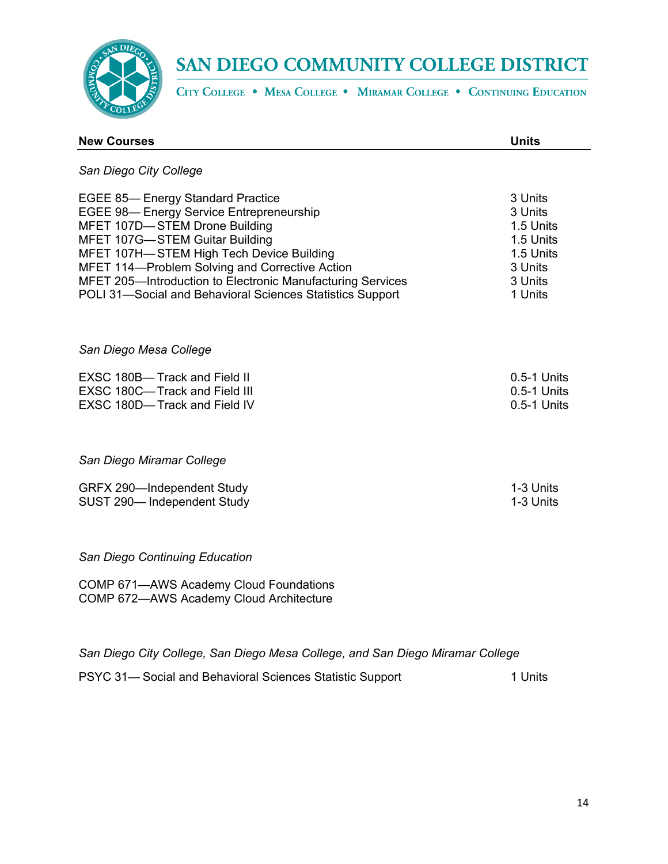

CITY COLLEGE . MESA COLLEGE . MIRAMAR COLLEGE . CONTINUING EDUCATION

| <b>New Courses</b>                                                                                                                                                                                                                                                                                                                                                                    | <b>Units</b>                                                                               |
|---------------------------------------------------------------------------------------------------------------------------------------------------------------------------------------------------------------------------------------------------------------------------------------------------------------------------------------------------------------------------------------|--------------------------------------------------------------------------------------------|
| San Diego City College                                                                                                                                                                                                                                                                                                                                                                |                                                                                            |
| <b>EGEE 85-Energy Standard Practice</b><br><b>EGEE 98-Energy Service Entrepreneurship</b><br>MFET 107D-STEM Drone Building<br>MFET 107G-STEM Guitar Building<br>MFET 107H-STEM High Tech Device Building<br>MFET 114-Problem Solving and Corrective Action<br>MFET 205-Introduction to Electronic Manufacturing Services<br>POLI 31-Social and Behavioral Sciences Statistics Support | 3 Units<br>3 Units<br>1.5 Units<br>1.5 Units<br>1.5 Units<br>3 Units<br>3 Units<br>1 Units |
| San Diego Mesa College                                                                                                                                                                                                                                                                                                                                                                |                                                                                            |
| EXSC 180B-Track and Field II<br>EXSC 180C-Track and Field III<br>EXSC 180D-Track and Field IV                                                                                                                                                                                                                                                                                         | 0.5-1 Units<br>0.5-1 Units<br>0.5-1 Units                                                  |
| San Diego Miramar College                                                                                                                                                                                                                                                                                                                                                             |                                                                                            |
| GRFX 290-Independent Study<br>SUST 290-Independent Study                                                                                                                                                                                                                                                                                                                              | 1-3 Units<br>1-3 Units                                                                     |
| San Diego Continuing Education                                                                                                                                                                                                                                                                                                                                                        |                                                                                            |
| COMP 671-AWS Academy Cloud Foundations<br>COMP 672-AWS Academy Cloud Architecture                                                                                                                                                                                                                                                                                                     |                                                                                            |

*San Diego City College, San Diego Mesa College, and San Diego Miramar College*

PSYC 31-Social and Behavioral Sciences Statistic Support 1 Units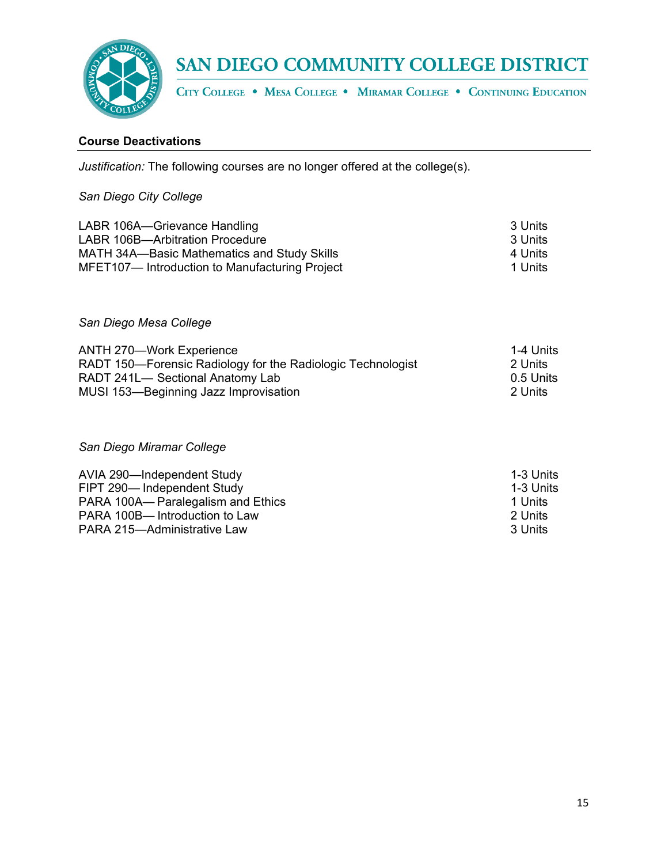

CITY COLLEGE . MESA COLLEGE . MIRAMAR COLLEGE . CONTINUING EDUCATION

### **Course Deactivations**

*Justification:* The following courses are no longer offered at the college(s).

### *San Diego City College*

| LABR 106A-Grievance Handling                  | 3 Units  |
|-----------------------------------------------|----------|
| LABR 106B-Arbitration Procedure               | -3 Units |
| MATH 34A-Basic Mathematics and Study Skills   | 4 Units  |
| MFET107-Introduction to Manufacturing Project | 1 Units  |

*San Diego Mesa College*

| <b>ANTH 270-Work Experience</b>                             | 1-4 Units |
|-------------------------------------------------------------|-----------|
| RADT 150—Forensic Radiology for the Radiologic Technologist | -2 Units  |
| RADT 241L- Sectional Anatomy Lab                            | 0.5 Units |
| MUSI 153-Beginning Jazz Improvisation                       | 2 Units   |

### *San Diego Miramar College*

| AVIA 290-Independent Study         | 1-3 Units |
|------------------------------------|-----------|
| FIPT 290-Independent Study         | 1-3 Units |
| PARA 100A— Paralegalism and Ethics | 1 Units   |
| PARA 100B-Introduction to Law      | -2 Units  |
| PARA 215-Administrative Law        | -3 Units  |